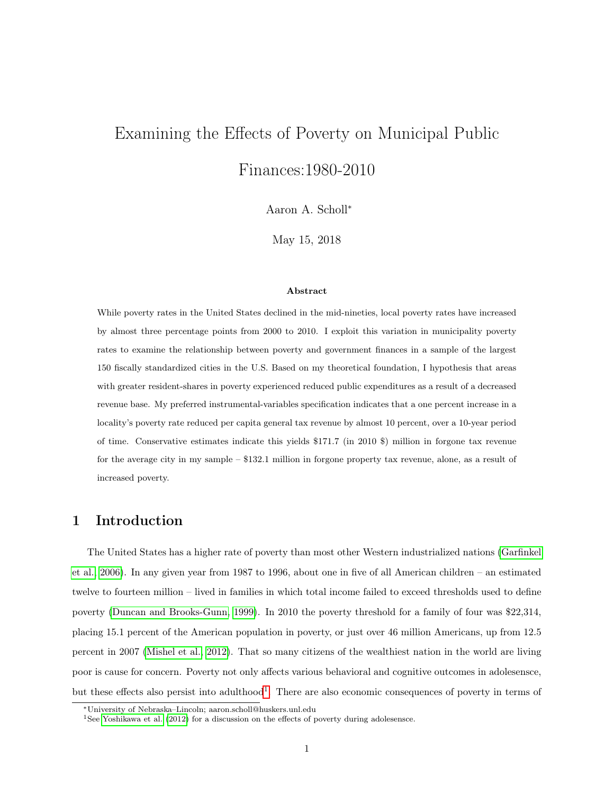# Examining the Effects of Poverty on Municipal Public Finances:1980-2010

Aaron A. Scholl<sup>∗</sup>

May 15, 2018

#### Abstract

While poverty rates in the United States declined in the mid-nineties, local poverty rates have increased by almost three percentage points from 2000 to 2010. I exploit this variation in municipality poverty rates to examine the relationship between poverty and government finances in a sample of the largest 150 fiscally standardized cities in the U.S. Based on my theoretical foundation, I hypothesis that areas with greater resident-shares in poverty experienced reduced public expenditures as a result of a decreased revenue base. My preferred instrumental-variables specification indicates that a one percent increase in a locality's poverty rate reduced per capita general tax revenue by almost 10 percent, over a 10-year period of time. Conservative estimates indicate this yields \$171.7 (in 2010 \$) million in forgone tax revenue for the average city in my sample – \$132.1 million in forgone property tax revenue, alone, as a result of increased poverty.

## 1 Introduction

The United States has a higher rate of poverty than most other Western industrialized nations [\(Garfinkel](#page-19-0) [et al., 2006\)](#page-19-0). In any given year from 1987 to 1996, about one in five of all American children – an estimated twelve to fourteen million – lived in families in which total income failed to exceed thresholds used to define poverty [\(Duncan and Brooks-Gunn, 1999\)](#page-19-1). In 2010 the poverty threshold for a family of four was \$22,314, placing 15.1 percent of the American population in poverty, or just over 46 million Americans, up from 12.5 percent in 2007 [\(Mishel et al., 2012\)](#page-20-0). That so many citizens of the wealthiest nation in the world are living poor is cause for concern. Poverty not only affects various behavioral and cognitive outcomes in adolesensce, but these effects also persist into adulthood<sup>[1](#page-0-0)</sup>. There are also economic consequences of poverty in terms of

<sup>∗</sup>University of Nebraska–Lincoln; aaron.scholl@huskers.unl.edu

<span id="page-0-0"></span><sup>1</sup>See [Yoshikawa et al.](#page-20-1) [\(2012\)](#page-20-1) for a discussion on the effects of poverty during adolesensce.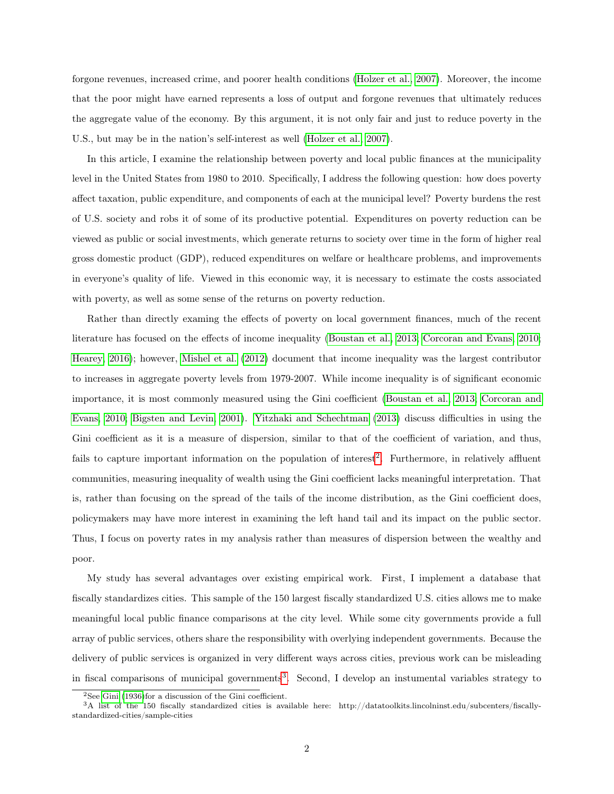forgone revenues, increased crime, and poorer health conditions [\(Holzer et al., 2007\)](#page-20-2). Moreover, the income that the poor might have earned represents a loss of output and forgone revenues that ultimately reduces the aggregate value of the economy. By this argument, it is not only fair and just to reduce poverty in the U.S., but may be in the nation's self-interest as well [\(Holzer et al., 2007\)](#page-20-2).

In this article, I examine the relationship between poverty and local public finances at the municipality level in the United States from 1980 to 2010. Specifically, I address the following question: how does poverty affect taxation, public expenditure, and components of each at the municipal level? Poverty burdens the rest of U.S. society and robs it of some of its productive potential. Expenditures on poverty reduction can be viewed as public or social investments, which generate returns to society over time in the form of higher real gross domestic product (GDP), reduced expenditures on welfare or healthcare problems, and improvements in everyone's quality of life. Viewed in this economic way, it is necessary to estimate the costs associated with poverty, as well as some sense of the returns on poverty reduction.

Rather than directly examing the effects of poverty on local government finances, much of the recent literature has focused on the effects of income inequality [\(Boustan et al., 2013;](#page-19-2) [Corcoran and Evans, 2010;](#page-19-3) [Hearey, 2016\)](#page-20-3); however, [Mishel et al.](#page-20-0) [\(2012\)](#page-20-0) document that income inequality was the largest contributor to increases in aggregate poverty levels from 1979-2007. While income inequality is of significant economic importance, it is most commonly measured using the Gini coefficient [\(Boustan et al., 2013;](#page-19-2) [Corcoran and](#page-19-3) [Evans, 2010;](#page-19-3) [Bigsten and Levin, 2001\)](#page-19-4). [Yitzhaki and Schechtman](#page-20-4) [\(2013\)](#page-20-4) discuss difficulties in using the Gini coefficient as it is a measure of dispersion, similar to that of the coefficient of variation, and thus, fails to capture important information on the population of interest<sup>[2](#page-1-0)</sup>. Furthermore, in relatively affluent communities, measuring inequality of wealth using the Gini coefficient lacks meaningful interpretation. That is, rather than focusing on the spread of the tails of the income distribution, as the Gini coefficient does, policymakers may have more interest in examining the left hand tail and its impact on the public sector. Thus, I focus on poverty rates in my analysis rather than measures of dispersion between the wealthy and poor.

My study has several advantages over existing empirical work. First, I implement a database that fiscally standardizes cities. This sample of the 150 largest fiscally standardized U.S. cities allows me to make meaningful local public finance comparisons at the city level. While some city governments provide a full array of public services, others share the responsibility with overlying independent governments. Because the delivery of public services is organized in very different ways across cities, previous work can be misleading in fiscal comparisons of municipal governments<sup>[3](#page-1-1)</sup>. Second, I develop an instumental variables strategy to

<span id="page-1-1"></span><span id="page-1-0"></span> $2$ See [Gini](#page-19-5) [\(1936\)](#page-19-5)for a discussion of the Gini coefficient.

<sup>3</sup>A list of the 150 fiscally standardized cities is available here: http://datatoolkits.lincolninst.edu/subcenters/fiscallystandardized-cities/sample-cities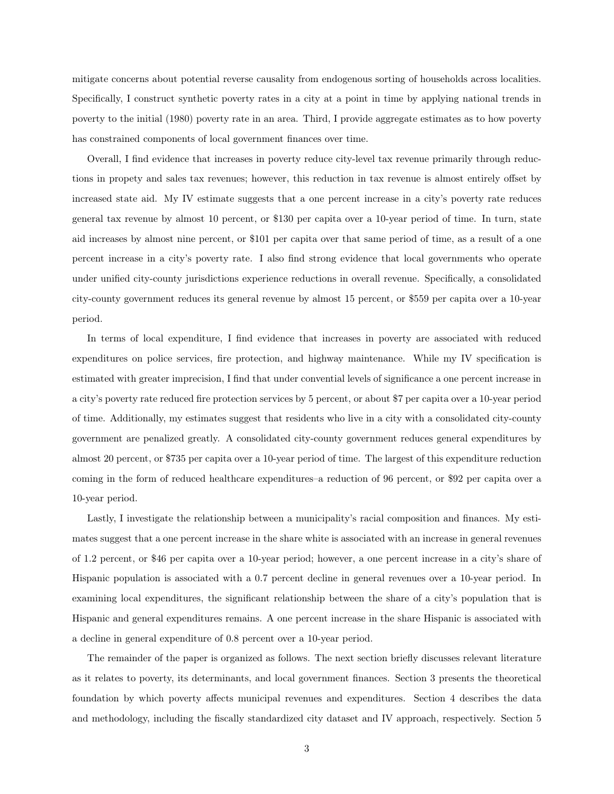mitigate concerns about potential reverse causality from endogenous sorting of households across localities. Specifically, I construct synthetic poverty rates in a city at a point in time by applying national trends in poverty to the initial (1980) poverty rate in an area. Third, I provide aggregate estimates as to how poverty has constrained components of local government finances over time.

Overall, I find evidence that increases in poverty reduce city-level tax revenue primarily through reductions in propety and sales tax revenues; however, this reduction in tax revenue is almost entirely offset by increased state aid. My IV estimate suggests that a one percent increase in a city's poverty rate reduces general tax revenue by almost 10 percent, or \$130 per capita over a 10-year period of time. In turn, state aid increases by almost nine percent, or \$101 per capita over that same period of time, as a result of a one percent increase in a city's poverty rate. I also find strong evidence that local governments who operate under unified city-county jurisdictions experience reductions in overall revenue. Specifically, a consolidated city-county government reduces its general revenue by almost 15 percent, or \$559 per capita over a 10-year period.

In terms of local expenditure, I find evidence that increases in poverty are associated with reduced expenditures on police services, fire protection, and highway maintenance. While my IV specification is estimated with greater imprecision, I find that under convential levels of significance a one percent increase in a city's poverty rate reduced fire protection services by 5 percent, or about \$7 per capita over a 10-year period of time. Additionally, my estimates suggest that residents who live in a city with a consolidated city-county government are penalized greatly. A consolidated city-county government reduces general expenditures by almost 20 percent, or \$735 per capita over a 10-year period of time. The largest of this expenditure reduction coming in the form of reduced healthcare expenditures–a reduction of 96 percent, or \$92 per capita over a 10-year period.

Lastly, I investigate the relationship between a municipality's racial composition and finances. My estimates suggest that a one percent increase in the share white is associated with an increase in general revenues of 1.2 percent, or \$46 per capita over a 10-year period; however, a one percent increase in a city's share of Hispanic population is associated with a 0.7 percent decline in general revenues over a 10-year period. In examining local expenditures, the significant relationship between the share of a city's population that is Hispanic and general expenditures remains. A one percent increase in the share Hispanic is associated with a decline in general expenditure of 0.8 percent over a 10-year period.

The remainder of the paper is organized as follows. The next section briefly discusses relevant literature as it relates to poverty, its determinants, and local government finances. Section 3 presents the theoretical foundation by which poverty affects municipal revenues and expenditures. Section 4 describes the data and methodology, including the fiscally standardized city dataset and IV approach, respectively. Section 5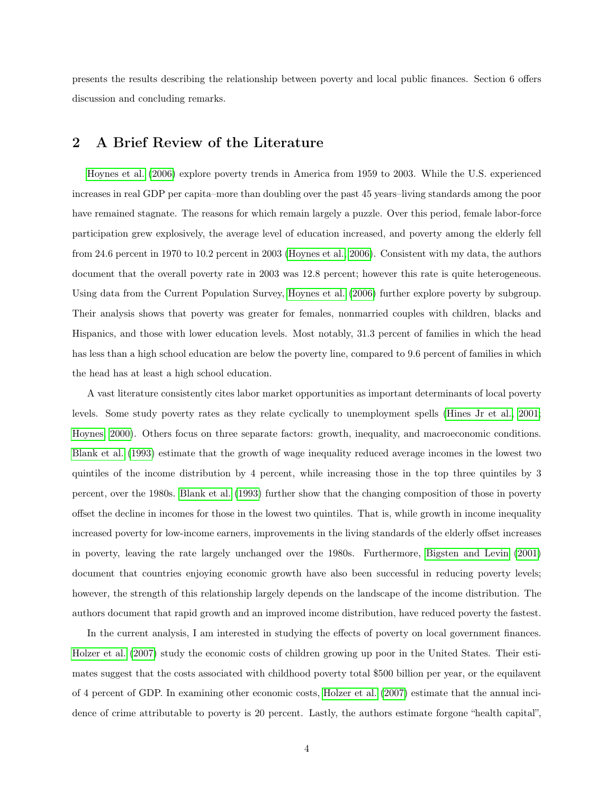presents the results describing the relationship between poverty and local public finances. Section 6 offers discussion and concluding remarks.

## 2 A Brief Review of the Literature

[Hoynes et al.](#page-20-5) [\(2006\)](#page-20-5) explore poverty trends in America from 1959 to 2003. While the U.S. experienced increases in real GDP per capita–more than doubling over the past 45 years–living standards among the poor have remained stagnate. The reasons for which remain largely a puzzle. Over this period, female labor-force participation grew explosively, the average level of education increased, and poverty among the elderly fell from 24.6 percent in 1970 to 10.2 percent in 2003 [\(Hoynes et al., 2006\)](#page-20-5). Consistent with my data, the authors document that the overall poverty rate in 2003 was 12.8 percent; however this rate is quite heterogeneous. Using data from the Current Population Survey, [Hoynes et al.](#page-20-5) [\(2006\)](#page-20-5) further explore poverty by subgroup. Their analysis shows that poverty was greater for females, nonmarried couples with children, blacks and Hispanics, and those with lower education levels. Most notably, 31.3 percent of families in which the head has less than a high school education are below the poverty line, compared to 9.6 percent of families in which the head has at least a high school education.

A vast literature consistently cites labor market opportunities as important determinants of local poverty levels. Some study poverty rates as they relate cyclically to unemployment spells [\(Hines Jr et al., 2001;](#page-20-6) [Hoynes, 2000\)](#page-20-7). Others focus on three separate factors: growth, inequality, and macroeconomic conditions. [Blank et al.](#page-19-6) [\(1993\)](#page-19-6) estimate that the growth of wage inequality reduced average incomes in the lowest two quintiles of the income distribution by 4 percent, while increasing those in the top three quintiles by 3 percent, over the 1980s. [Blank et al.](#page-19-6) [\(1993\)](#page-19-6) further show that the changing composition of those in poverty offset the decline in incomes for those in the lowest two quintiles. That is, while growth in income inequality increased poverty for low-income earners, improvements in the living standards of the elderly offset increases in poverty, leaving the rate largely unchanged over the 1980s. Furthermore, [Bigsten and Levin](#page-19-4) [\(2001\)](#page-19-4) document that countries enjoying economic growth have also been successful in reducing poverty levels; however, the strength of this relationship largely depends on the landscape of the income distribution. The authors document that rapid growth and an improved income distribution, have reduced poverty the fastest.

In the current analysis, I am interested in studying the effects of poverty on local government finances. [Holzer et al.](#page-20-2) [\(2007\)](#page-20-2) study the economic costs of children growing up poor in the United States. Their estimates suggest that the costs associated with childhood poverty total \$500 billion per year, or the equilavent of 4 percent of GDP. In examining other economic costs, [Holzer et al.](#page-20-2) [\(2007\)](#page-20-2) estimate that the annual incidence of crime attributable to poverty is 20 percent. Lastly, the authors estimate forgone "health capital",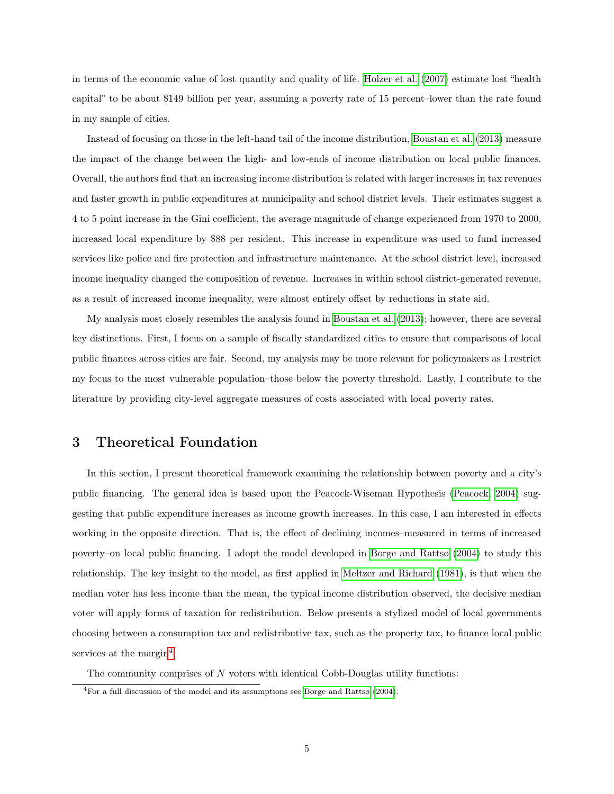in terms of the economic value of lost quantity and quality of life. [Holzer et al.](#page-20-2) [\(2007\)](#page-20-2) estimate lost "health capital" to be about \$149 billion per year, assuming a poverty rate of 15 percent–lower than the rate found in my sample of cities.

Instead of focusing on those in the left-hand tail of the income distribution, [Boustan et al.](#page-19-2) [\(2013\)](#page-19-2) measure the impact of the change between the high- and low-ends of income distribution on local public finances. Overall, the authors find that an increasing income distribution is related with larger increases in tax revenues and faster growth in public expenditures at municipality and school district levels. Their estimates suggest a 4 to 5 point increase in the Gini coefficient, the average magnitude of change experienced from 1970 to 2000, increased local expenditure by \$88 per resident. This increase in expenditure was used to fund increased services like police and fire protection and infrastructure maintenance. At the school district level, increased income inequality changed the composition of revenue. Increases in within school district-generated revenue, as a result of increased income inequality, were almost entirely offset by reductions in state aid.

My analysis most closely resembles the analysis found in [Boustan et al.](#page-19-2) [\(2013\)](#page-19-2); however, there are several key distinctions. First, I focus on a sample of fiscally standardized cities to ensure that comparisons of local public finances across cities are fair. Second, my analysis may be more relevant for policymakers as I restrict my focus to the most vulnerable population–those below the poverty threshold. Lastly, I contribute to the literature by providing city-level aggregate measures of costs associated with local poverty rates.

### 3 Theoretical Foundation

In this section, I present theoretical framework examining the relationship between poverty and a city's public financing. The general idea is based upon the Peacock-Wiseman Hypothesis [\(Peacock, 2004\)](#page-20-8) suggesting that public expenditure increases as income growth increases. In this case, I am interested in effects working in the opposite direction. That is, the effect of declining incomes–measured in terms of increased poverty–on local public financing. I adopt the model developed in [Borge and Rattsø](#page-19-7) [\(2004\)](#page-19-7) to study this relationship. The key insight to the model, as first applied in [Meltzer and Richard](#page-20-9) [\(1981\)](#page-20-9), is that when the median voter has less income than the mean, the typical income distribution observed, the decisive median voter will apply forms of taxation for redistribution. Below presents a stylized model of local governments choosing between a consumption tax and redistributive tax, such as the property tax, to finance local public services at the margin<sup>[4](#page-4-0)</sup>:

The community comprises of  $N$  voters with identical Cobb-Douglas utility functions:

<span id="page-4-0"></span><sup>4</sup>For a full discussion of the model and its assumptions see [Borge and Rattsø](#page-19-7) [\(2004\)](#page-19-7).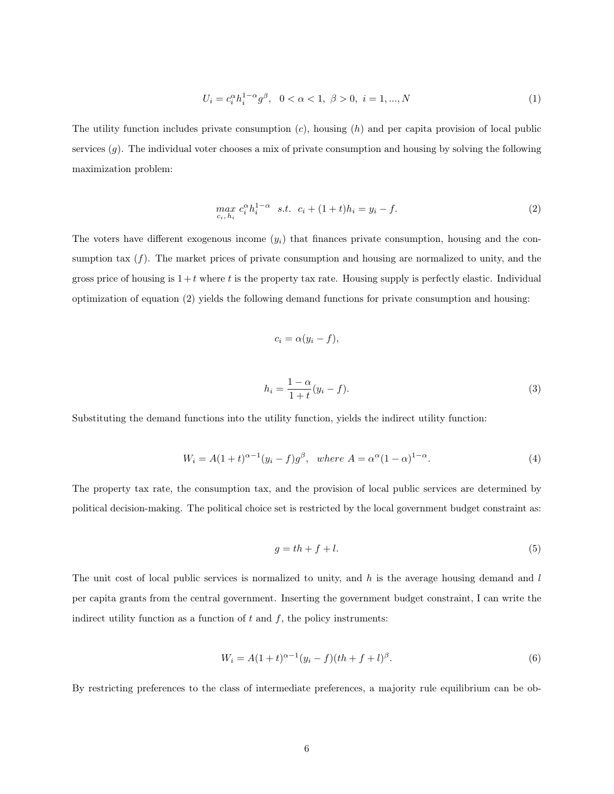$$
U_i = c_i^{\alpha} h_i^{1-\alpha} g^{\beta}, \quad 0 < \alpha < 1, \ \beta > 0, \ i = 1, ..., N
$$
 (1)

The utility function includes private consumption  $(c)$ , housing  $(h)$  and per capita provision of local public services  $(g)$ . The individual voter chooses a mix of private consumption and housing by solving the following maximization problem:

$$
\max_{c_i, h_i} c_i^{\alpha} h_i^{1-\alpha} \quad s.t. \quad c_i + (1+t)h_i = y_i - f. \tag{2}
$$

The voters have different exogenous income  $(y_i)$  that finances private consumption, housing and the consumption tax  $(f)$ . The market prices of private consumption and housing are normalized to unity, and the gross price of housing is  $1+t$  where t is the property tax rate. Housing supply is perfectly elastic. Individual optimization of equation (2) yields the following demand functions for private consumption and housing:

$$
c_i = \alpha(y_i - f),
$$
  

$$
h_i = \frac{1 - \alpha}{1 + t}(y_i - f).
$$
 (3)

Substituting the demand functions into the utility function, yields the indirect utility function:

$$
W_i = A(1+t)^{\alpha-1}(y_i - f)g^{\beta}, \text{ where } A = \alpha^{\alpha}(1-\alpha)^{1-\alpha}.
$$
 (4)

The property tax rate, the consumption tax, and the provision of local public services are determined by political decision-making. The political choice set is restricted by the local government budget constraint as:

$$
g = th + f + l.\tag{5}
$$

The unit cost of local public services is normalized to unity, and  $h$  is the average housing demand and  $l$ per capita grants from the central government. Inserting the government budget constraint, I can write the indirect utility function as a function of  $t$  and  $f$ , the policy instruments:

$$
W_i = A(1+t)^{\alpha-1}(y_i - f)(th + f + l)^{\beta}.
$$
\n(6)

By restricting preferences to the class of intermediate preferences, a majority rule equilibrium can be ob-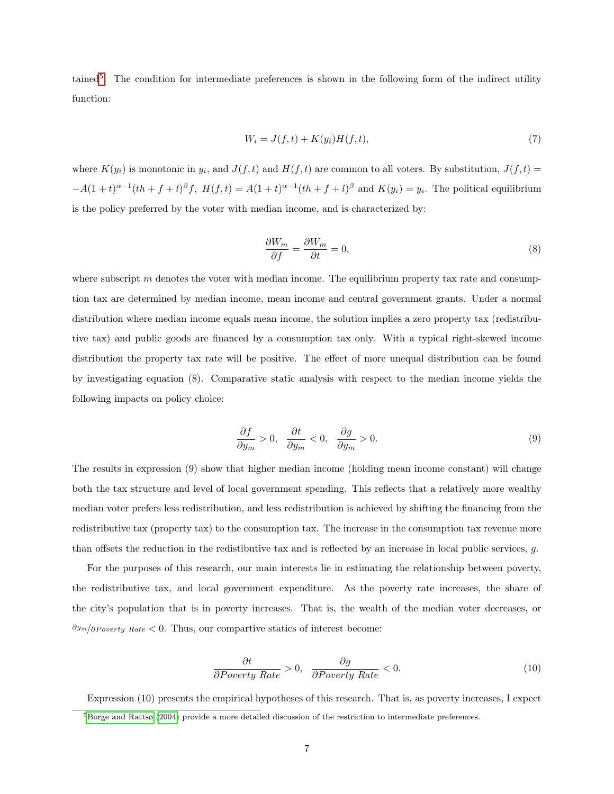tained<sup>[5](#page-6-0)</sup>. The condition for intermediate preferences is shown in the following form of the indirect utility function:

$$
W_i = J(f, t) + K(y_i)H(f, t),\tag{7}
$$

where  $K(y_i)$  is monotonic in  $y_i$ , and  $J(f, t)$  and  $H(f, t)$  are common to all voters. By substitution,  $J(f, t)$  $-A(1+t)^{\alpha-1}(th+f+l)^{\beta}f$ ,  $H(f,t) = A(1+t)^{\alpha-1}(th+f+l)^{\beta}$  and  $K(y_i) = y_i$ . The political equilibrium is the policy preferred by the voter with median income, and is characterized by:

$$
\frac{\partial W_m}{\partial f} = \frac{\partial W_m}{\partial t} = 0,\tag{8}
$$

where subscript  $m$  denotes the voter with median income. The equilibrium property tax rate and consumption tax are determined by median income, mean income and central government grants. Under a normal distribution where median income equals mean income, the solution implies a zero property tax (redistributive tax) and public goods are financed by a consumption tax only. With a typical right-skewed income distribution the property tax rate will be positive. The effect of more unequal distribution can be found by investigating equation (8). Comparative static analysis with respect to the median income yields the following impacts on policy choice:

$$
\frac{\partial f}{\partial y_m} > 0, \quad \frac{\partial t}{\partial y_m} < 0, \quad \frac{\partial g}{\partial y_m} > 0.
$$
\n(9)

The results in expression (9) show that higher median income (holding mean income constant) will change both the tax structure and level of local government spending. This reflects that a relatively more wealthy median voter prefers less redistribution, and less redistribution is achieved by shifting the financing from the redistributive tax (property tax) to the consumption tax. The increase in the consumption tax revenue more than offsets the reduction in the redistibutive tax and is reflected by an increase in local public services, g.

For the purposes of this research, our main interests lie in estimating the relationship between poverty, the redistributive tax, and local government expenditure. As the poverty rate increases, the share of the city's population that is in poverty increases. That is, the wealth of the median voter decreases, or  $\partial y_m/\partial P_{overty}$  Rate < 0. Thus, our compartive statics of interest become:

$$
\frac{\partial t}{\partial Powerty\ Rate} > 0, \quad \frac{\partial g}{\partial Powerty\ Rate} < 0.
$$
 (10)

Expression (10) presents the empirical hypotheses of this research. That is, as poverty increases, I expect

<span id="page-6-0"></span> $5B$ orge and Rattsø [\(2004\)](#page-19-7) provide a more detailed discussion of the restriction to intermediate preferences.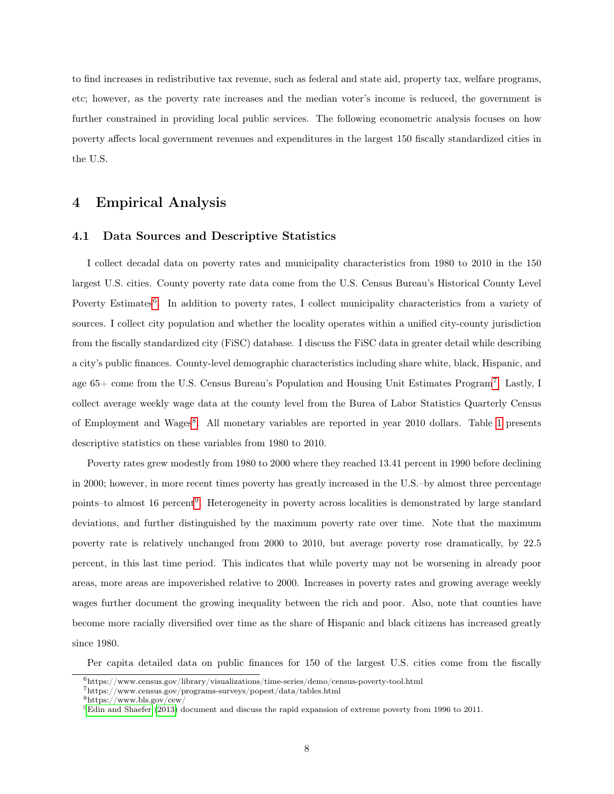to find increases in redistributive tax revenue, such as federal and state aid, property tax, welfare programs, etc; however, as the poverty rate increases and the median voter's income is reduced, the government is further constrained in providing local public services. The following econometric analysis focuses on how poverty affects local government revenues and expenditures in the largest 150 fiscally standardized cities in the U.S.

## 4 Empirical Analysis

#### 4.1 Data Sources and Descriptive Statistics

I collect decadal data on poverty rates and municipality characteristics from 1980 to 2010 in the 150 largest U.S. cities. County poverty rate data come from the U.S. Census Bureau's Historical County Level Poverty Estimates<sup>[6](#page-7-0)</sup>. In addition to poverty rates, I collect municipality characteristics from a variety of sources. I collect city population and whether the locality operates within a unified city-county jurisdiction from the fiscally standardized city (FiSC) database. I discuss the FiSC data in greater detail while describing a city's public finances. County-level demographic characteristics including share white, black, Hispanic, and age 65+ come from the U.S. Census Bureau's Population and Housing Unit Estimates Program[7](#page-7-1) . Lastly, I collect average weekly wage data at the county level from the Burea of Labor Statistics Quarterly Census of Employment and Wages<sup>[8](#page-7-2)</sup>. All monetary variables are reported in year 2010 dollars. Table [1](#page-8-0) presents descriptive statistics on these variables from 1980 to 2010.

Poverty rates grew modestly from 1980 to 2000 where they reached 13.41 percent in 1990 before declining in 2000; however, in more recent times poverty has greatly increased in the U.S.–by almost three percentage points–to almost 16 percent<sup>[9](#page-7-3)</sup>. Heterogeneity in poverty across localities is demonstrated by large standard deviations, and further distinguished by the maximum poverty rate over time. Note that the maximum poverty rate is relatively unchanged from 2000 to 2010, but average poverty rose dramatically, by 22.5 percent, in this last time period. This indicates that while poverty may not be worsening in already poor areas, more areas are impoverished relative to 2000. Increases in poverty rates and growing average weekly wages further document the growing inequality between the rich and poor. Also, note that counties have become more racially diversified over time as the share of Hispanic and black citizens has increased greatly since 1980.

Per capita detailed data on public finances for 150 of the largest U.S. cities come from the fiscally

<span id="page-7-0"></span><sup>6</sup>https://www.census.gov/library/visualizations/time-series/demo/census-poverty-tool.html

<span id="page-7-1"></span><sup>7</sup>https://www.census.gov/programs-surveys/popest/data/tables.html

<span id="page-7-2"></span><sup>8</sup>https://www.bls.gov/cew/

<span id="page-7-3"></span><sup>9</sup>[Edin and Shaefer](#page-19-8) [\(2013\)](#page-19-8) document and discuss the rapid expansion of extreme poverty from 1996 to 2011.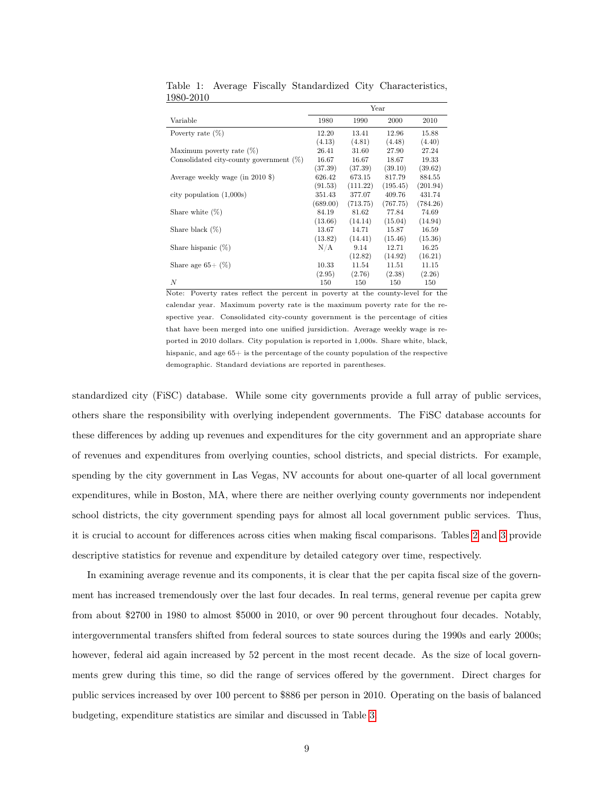|                                            |          |          | Year     |          |
|--------------------------------------------|----------|----------|----------|----------|
| Variable                                   | 1980     | 1990     | 2000     | 2010     |
| Poverty rate $(\%)$                        | 12.20    | 13.41    | 12.96    | 15.88    |
|                                            | (4.13)   | (4.81)   | (4.48)   | (4.40)   |
| Maximum poverty rate $(\%)$                | 26.41    | 31.60    | 27.90    | 27.24    |
| Consolidated city-county government $(\%)$ | 16.67    | 16.67    | 18.67    | 19.33    |
|                                            | (37.39)  | (37.39)  | (39.10)  | (39.62)  |
| Average weekly wage (in 2010 \$)           | 626.42   | 673.15   | 817.79   | 884.55   |
|                                            | (91.53)  | (111.22) | (195.45) | (201.94) |
| city population $(1,000s)$                 | 351.43   | 377.07   | 409.76   | 431.74   |
|                                            | (689.00) | (713.75) | (767.75) | (784.26) |
| Share white $(\%)$                         | 84.19    | 81.62    | 77.84    | 74.69    |
|                                            | (13.66)  | (14.14)  | (15.04)  | (14.94)  |
| Share black $(\%)$                         | 13.67    | 14.71    | 15.87    | 16.59    |
|                                            | (13.82)  | (14.41)  | (15.46)  | (15.36)  |
| Share hispanic $(\%)$                      | N/A      | 9.14     | 12.71    | 16.25    |
|                                            |          | (12.82)  | (14.92)  | (16.21)  |
| Share age $65+$ $(\%)$                     | 10.33    | 11.54    | 11.51    | 11.15    |
|                                            | (2.95)   | (2.76)   | (2.38)   | (2.26)   |
| N                                          | 150      | 150      | 150      | 150      |

<span id="page-8-0"></span>Table 1: Average Fiscally Standardized City Characteristics, 1980-2010

Note: Poverty rates reflect the percent in poverty at the county-level for the calendar year. Maximum poverty rate is the maximum poverty rate for the respective year. Consolidated city-county government is the percentage of cities that have been merged into one unified jursidiction. Average weekly wage is reported in 2010 dollars. City population is reported in 1,000s. Share white, black, hispanic, and age  $65+$  is the percentage of the county population of the respective demographic. Standard deviations are reported in parentheses.

standardized city (FiSC) database. While some city governments provide a full array of public services, others share the responsibility with overlying independent governments. The FiSC database accounts for these differences by adding up revenues and expenditures for the city government and an appropriate share of revenues and expenditures from overlying counties, school districts, and special districts. For example, spending by the city government in Las Vegas, NV accounts for about one-quarter of all local government expenditures, while in Boston, MA, where there are neither overlying county governments nor independent school districts, the city government spending pays for almost all local government public services. Thus, it is crucial to account for differences across cities when making fiscal comparisons. Tables [2](#page-9-0) and [3](#page-9-1) provide descriptive statistics for revenue and expenditure by detailed category over time, respectively.

In examining average revenue and its components, it is clear that the per capita fiscal size of the government has increased tremendously over the last four decades. In real terms, general revenue per capita grew from about \$2700 in 1980 to almost \$5000 in 2010, or over 90 percent throughout four decades. Notably, intergovernmental transfers shifted from federal sources to state sources during the 1990s and early 2000s; however, federal aid again increased by 52 percent in the most recent decade. As the size of local governments grew during this time, so did the range of services offered by the government. Direct charges for public services increased by over 100 percent to \$886 per person in 2010. Operating on the basis of balanced budgeting, expenditure statistics are similar and discussed in Table [3.](#page-9-1)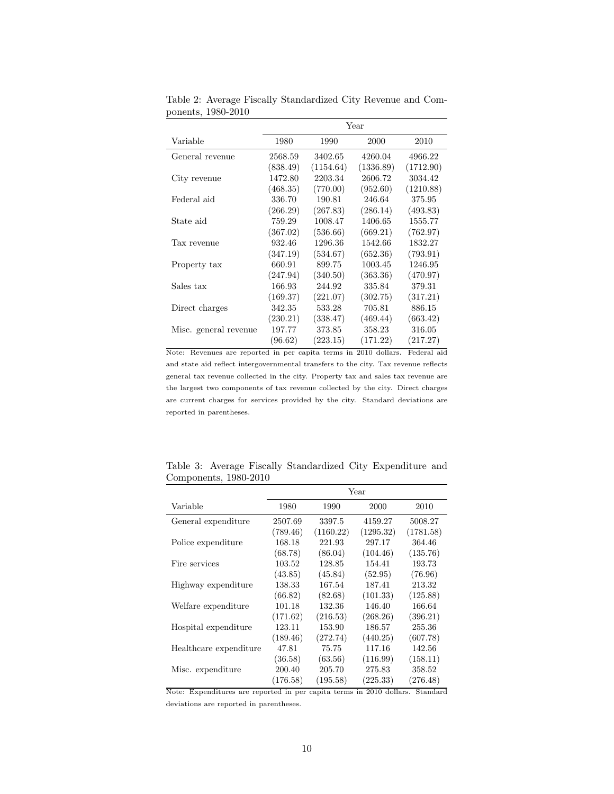|                       |          |           | Year      |           |
|-----------------------|----------|-----------|-----------|-----------|
| Variable              | 1980     | 1990      | 2000      | 2010      |
| General revenue       | 2568.59  | 3402.65   | 4260.04   | 4966.22   |
|                       | (838.49) | (1154.64) | (1336.89) | (1712.90) |
| City revenue          | 1472.80  | 2203.34   | 2606.72   | 3034.42   |
|                       | (468.35) | (770.00)  | (952.60)  | (1210.88) |
| Federal aid           | 336.70   | 190.81    | 246.64    | 375.95    |
|                       | (266.29) | (267.83)  | (286.14)  | (493.83)  |
| State aid             | 759.29   | 1008.47   | 1406.65   | 1555.77   |
|                       | (367.02) | (536.66)  | (669.21)  | (762.97)  |
| Tax revenue           | 932.46   | 1296.36   | 1542.66   | 1832.27   |
|                       | (347.19) | (534.67)  | (652.36)  | (793.91)  |
| Property tax          | 660.91   | 899.75    | 1003.45   | 1246.95   |
|                       | (247.94) | (340.50)  | (363.36)  | (470.97)  |
| Sales tax             | 166.93   | 244.92    | 335.84    | 379.31    |
|                       | (169.37) | (221.07)  | (302.75)  | (317.21)  |
| Direct charges        | 342.35   | 533.28    | 705.81    | 886.15    |
|                       | (230.21) | (338.47)  | (469.44)  | (663.42)  |
| Misc. general revenue | 197.77   | 373.85    | 358.23    | 316.05    |
|                       | (96.62)  | (223.15)  | (171.22)  | (217.27)  |

<span id="page-9-0"></span>Table 2: Average Fiscally Standardized City Revenue and Components, 1980-2010

Note: Revenues are reported in per capita terms in 2010 dollars. Federal aid and state aid reflect intergovernmental transfers to the city. Tax revenue reflects general tax revenue collected in the city. Property tax and sales tax revenue are the largest two components of tax revenue collected by the city. Direct charges are current charges for services provided by the city. Standard deviations are reported in parentheses.

|                                                                      |          |           | Year      |           |
|----------------------------------------------------------------------|----------|-----------|-----------|-----------|
| Variable                                                             | 1980     | 1990      | 2000      | 2010      |
| General expenditure                                                  | 2507.69  | 3397.5    | 4159.27   | 5008.27   |
|                                                                      | (789.46) | (1160.22) | (1295.32) | (1781.58) |
| Police expenditure                                                   | 168.18   | 221.93    | 297.17    | 364.46    |
|                                                                      | (68.78)  | (86.04)   | (104.46)  | (135.76)  |
| Fire services                                                        | 103.52   | 128.85    | 154.41    | 193.73    |
|                                                                      | (43.85)  | (45.84)   | (52.95)   | (76.96)   |
| Highway expenditure                                                  | 138.33   | 167.54    | 187.41    | 213.32    |
|                                                                      | (66.82)  | (82.68)   | (101.33)  | (125.88)  |
| Welfare expenditure                                                  | 101.18   | 132.36    | 146.40    | 166.64    |
|                                                                      | (171.62) | (216.53)  | (268.26)  | (396.21)  |
| Hospital expenditure                                                 | 123.11   | 153.90    | 186.57    | 255.36    |
|                                                                      | (189.46) | (272.74)  | (440.25)  | (607.78)  |
| Healthcare expenditure                                               | 47.81    | 75.75     | 117.16    | 142.56    |
|                                                                      | (36.58)  | (63.56)   | (116.99)  | (158.11)  |
| Misc. expenditure                                                    | 200.40   | 205.70    | 275.83    | 358.52    |
|                                                                      | (176.58) | (195.58)  | (225.33)  | (276.48)  |
| Note: Expenditures are reported in per capita terms in 2010 dollars. |          |           |           | Standard  |

<span id="page-9-1"></span>Table 3: Average Fiscally Standardized City Expenditure and Components, 1980-2010

deviations are reported in parentheses.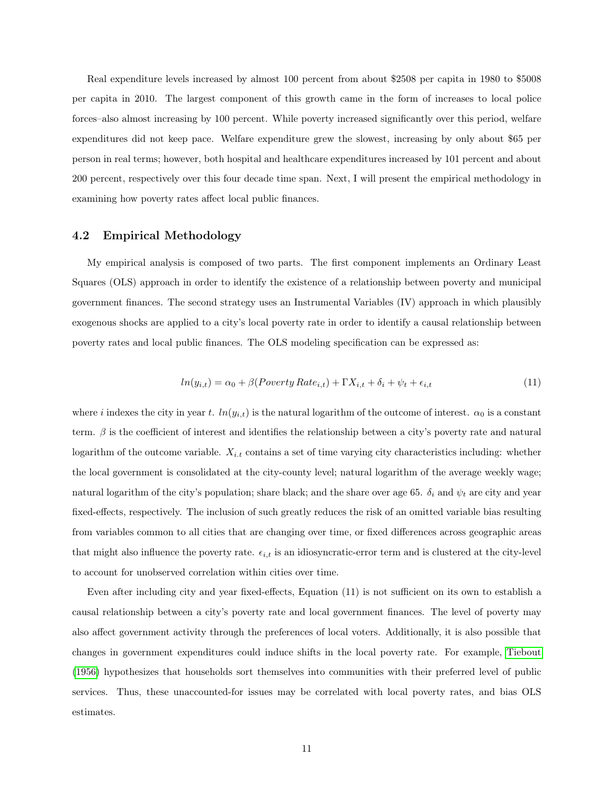Real expenditure levels increased by almost 100 percent from about \$2508 per capita in 1980 to \$5008 per capita in 2010. The largest component of this growth came in the form of increases to local police forces–also almost increasing by 100 percent. While poverty increased significantly over this period, welfare expenditures did not keep pace. Welfare expenditure grew the slowest, increasing by only about \$65 per person in real terms; however, both hospital and healthcare expenditures increased by 101 percent and about 200 percent, respectively over this four decade time span. Next, I will present the empirical methodology in examining how poverty rates affect local public finances.

#### <span id="page-10-0"></span>4.2 Empirical Methodology

My empirical analysis is composed of two parts. The first component implements an Ordinary Least Squares (OLS) approach in order to identify the existence of a relationship between poverty and municipal government finances. The second strategy uses an Instrumental Variables (IV) approach in which plausibly exogenous shocks are applied to a city's local poverty rate in order to identify a causal relationship between poverty rates and local public finances. The OLS modeling specification can be expressed as:

$$
ln(y_{i,t}) = \alpha_0 + \beta (Poverty Rate_{i,t}) + \Gamma X_{i,t} + \delta_i + \psi_t + \epsilon_{i,t}
$$
\n
$$
(11)
$$

where i indexes the city in year t.  $ln(y_{i,t})$  is the natural logarithm of the outcome of interest.  $\alpha_0$  is a constant term.  $\beta$  is the coefficient of interest and identifies the relationship between a city's poverty rate and natural logarithm of the outcome variable.  $X_{i,t}$  contains a set of time varying city characteristics including: whether the local government is consolidated at the city-county level; natural logarithm of the average weekly wage; natural logarithm of the city's population; share black; and the share over age 65.  $\delta_i$  and  $\psi_t$  are city and year fixed-effects, respectively. The inclusion of such greatly reduces the risk of an omitted variable bias resulting from variables common to all cities that are changing over time, or fixed differences across geographic areas that might also influence the poverty rate.  $\epsilon_{i,t}$  is an idiosyncratic-error term and is clustered at the city-level to account for unobserved correlation within cities over time.

Even after including city and year fixed-effects, Equation (11) is not sufficient on its own to establish a causal relationship between a city's poverty rate and local government finances. The level of poverty may also affect government activity through the preferences of local voters. Additionally, it is also possible that changes in government expenditures could induce shifts in the local poverty rate. For example, [Tiebout](#page-20-10) [\(1956\)](#page-20-10) hypothesizes that households sort themselves into communities with their preferred level of public services. Thus, these unaccounted-for issues may be correlated with local poverty rates, and bias OLS estimates.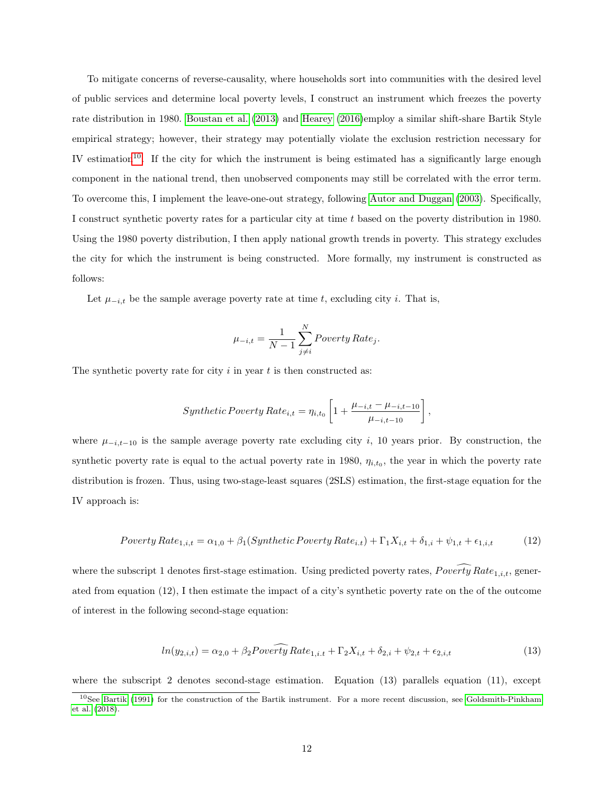To mitigate concerns of reverse-causality, where households sort into communities with the desired level of public services and determine local poverty levels, I construct an instrument which freezes the poverty rate distribution in 1980. [Boustan et al.](#page-19-2) [\(2013\)](#page-19-2) and [Hearey](#page-20-3) [\(2016\)](#page-20-3)employ a similar shift-share Bartik Style empirical strategy; however, their strategy may potentially violate the exclusion restriction necessary for IV estimation<sup>[10](#page-11-0)</sup>. If the city for which the instrument is being estimated has a significantly large enough component in the national trend, then unobserved components may still be correlated with the error term. To overcome this, I implement the leave-one-out strategy, following [Autor and Duggan](#page-19-9) [\(2003\)](#page-19-9). Specifically, I construct synthetic poverty rates for a particular city at time t based on the poverty distribution in 1980. Using the 1980 poverty distribution, I then apply national growth trends in poverty. This strategy excludes the city for which the instrument is being constructed. More formally, my instrument is constructed as follows:

Let  $\mu_{-i,t}$  be the sample average poverty rate at time t, excluding city i. That is,

$$
\mu_{-i,t} = \frac{1}{N-1} \sum_{j \neq i}^{N} Powerty Rate_j.
$$

The synthetic poverty rate for city  $i$  in year  $t$  is then constructed as:

$$
Synthetic\,Powerty\,Rate_{i,t} = \eta_{i,t_0} \left[ 1 + \frac{\mu_{-i,t} - \mu_{-i,t-10}}{\mu_{-i,t-10}} \right],
$$

where  $\mu_{-i,t-10}$  is the sample average poverty rate excluding city i, 10 years prior. By construction, the synthetic poverty rate is equal to the actual poverty rate in 1980,  $\eta_{i,t_0}$ , the year in which the poverty rate distribution is frozen. Thus, using two-stage-least squares (2SLS) estimation, the first-stage equation for the IV approach is:

$$
Powerly Rate_{1,i,t} = \alpha_{1,0} + \beta_1 (Synthetic \, Powerty \, Rate_{i,t}) + \Gamma_1 X_{i,t} + \delta_{1,i} + \psi_{1,t} + \epsilon_{1,i,t} \tag{12}
$$

where the subscript 1 denotes first-stage estimation. Using predicted poverty rates,  $Power \overline{y}$  Rate<sub>1,i,t</sub>, generated from equation (12), I then estimate the impact of a city's synthetic poverty rate on the of the outcome of interest in the following second-stage equation:

$$
ln(y_{2,i,t}) = \alpha_{2,0} + \beta_2 Poverify Rate_{1,i,t} + \Gamma_2 X_{i,t} + \delta_{2,i} + \psi_{2,t} + \epsilon_{2,i,t}
$$
\n(13)

where the subscript 2 denotes second-stage estimation. Equation  $(13)$  parallels equation  $(11)$ , except

<span id="page-11-0"></span><sup>10</sup>See [Bartik](#page-19-10) [\(1991\)](#page-19-10) for the construction of the Bartik instrument. For a more recent discussion, see [Goldsmith-Pinkham](#page-20-11) [et al.](#page-20-11) [\(2018\)](#page-20-11).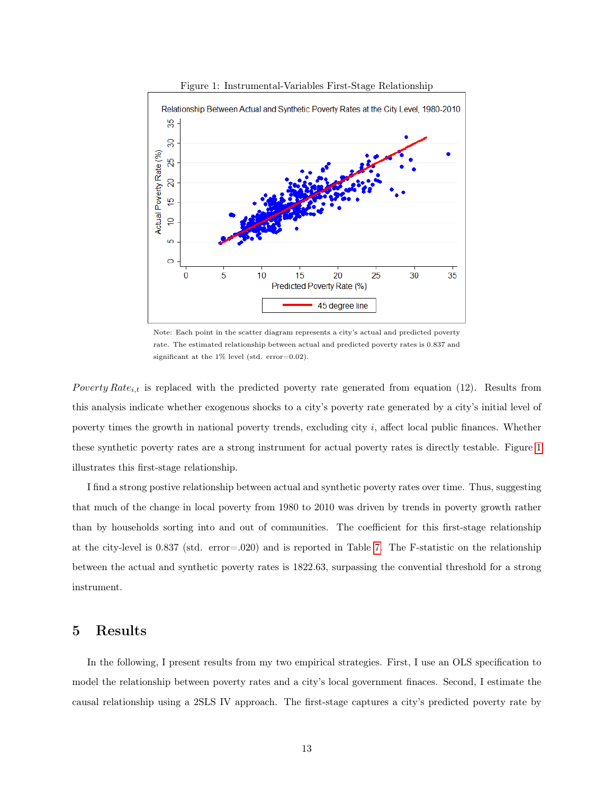

<span id="page-12-0"></span>Figure 1: Instrumental-Variables First-Stage Relationship

Note: Each point in the scatter diagram represents a city's actual and predicted poverty rate. The estimated relationship between actual and predicted poverty rates is 0.837 and significant at the 1% level (std. error=0.02).

Poverty Rate<sub>i,t</sub> is replaced with the predicted poverty rate generated from equation (12). Results from this analysis indicate whether exogenous shocks to a city's poverty rate generated by a city's initial level of poverty times the growth in national poverty trends, excluding city i, affect local public finances. Whether these synthetic poverty rates are a strong instrument for actual poverty rates is directly testable. Figure [1](#page-12-0) illustrates this first-stage relationship.

I find a strong postive relationship between actual and synthetic poverty rates over time. Thus, suggesting that much of the change in local poverty from 1980 to 2010 was driven by trends in poverty growth rather than by households sorting into and out of communities. The coefficient for this first-stage relationship at the city-level is 0.837 (std. error=.020) and is reported in Table [7.](#page-15-0) The F-statistic on the relationship between the actual and synthetic poverty rates is 1822.63, surpassing the convential threshold for a strong instrument.

## 5 Results

In the following, I present results from my two empirical strategies. First, I use an OLS specification to model the relationship between poverty rates and a city's local government finaces. Second, I estimate the causal relationship using a 2SLS IV approach. The first-stage captures a city's predicted poverty rate by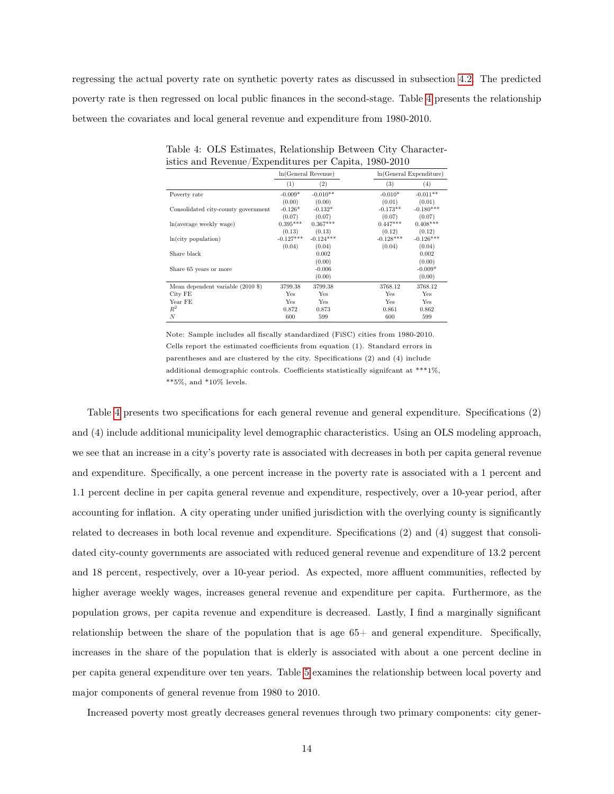regressing the actual poverty rate on synthetic poverty rates as discussed in subsection [4.2.](#page-10-0) The predicted poverty rate is then regressed on local public finances in the second-stage. Table [4](#page-13-0) presents the relationship between the covariates and local general revenue and expenditure from 1980-2010.

|                                                                |             | In(General Revenue) |             | $ln(General$ Expenditure) |
|----------------------------------------------------------------|-------------|---------------------|-------------|---------------------------|
|                                                                | (1)         | (2)                 | (3)         | (4)                       |
| Poverty rate                                                   | $-0.009*$   | $-0.010**$          | $-0.010*$   | $-0.011**$                |
|                                                                | (0.00)      | (0.00)              | (0.01)      | (0.01)                    |
| Consolidated city-county government                            | $-0.126*$   | $-0.132*$           | $-0.173**$  | $-0.180***$               |
|                                                                | (0.07)      | (0.07)              | (0.07)      | (0.07)                    |
| ln(average weekly wage)                                        | $0.395***$  | $0.367***$          | $0.447***$  | $0.408***$                |
|                                                                | (0.13)      | (0.13)              | (0.12)      | (0.12)                    |
| ln(city population)                                            | $-0.127***$ | $-0.124***$         | $-0.128***$ | $-0.126***$               |
|                                                                | (0.04)      | (0.04)              | (0.04)      | (0.04)                    |
| Share black                                                    |             | 0.002               |             | 0.002                     |
|                                                                |             | (0.00)              |             | (0.00)                    |
| Share 65 years or more                                         |             | $-0.006$            |             | $-0.009*$                 |
|                                                                |             | (0.00)              |             | (0.00)                    |
| Mean dependent variable $(2010 \text{ } \text{\textsterling})$ | 3799.38     | 3799.38             | 3768.12     | 3768.12                   |
| City FE                                                        | Yes         | Yes                 | Yes         | Yes                       |
| Year FE                                                        | Yes         | Yes                 | Yes         | Yes                       |
| $R^2$                                                          | 0.872       | 0.873               | 0.861       | 0.862                     |
| $\overline{N}$                                                 | 600         | 599                 | 600         | 599                       |

<span id="page-13-0"></span>Table 4: OLS Estimates, Relationship Between City Characteristics and Revenue/Expenditures per Capita, 1980-2010

Note: Sample includes all fiscally standardized (FiSC) cities from 1980-2010. Cells report the estimated coefficients from equation (1). Standard errors in parentheses and are clustered by the city. Specifications (2) and (4) include additional demographic controls. Coefficients statistically signifcant at \*\*\*1%,  $***5\%$ , and  $*10\%$  levels.

Table [4](#page-13-0) presents two specifications for each general revenue and general expenditure. Specifications (2) and (4) include additional municipality level demographic characteristics. Using an OLS modeling approach, we see that an increase in a city's poverty rate is associated with decreases in both per capita general revenue and expenditure. Specifically, a one percent increase in the poverty rate is associated with a 1 percent and 1.1 percent decline in per capita general revenue and expenditure, respectively, over a 10-year period, after accounting for inflation. A city operating under unified jurisdiction with the overlying county is significantly related to decreases in both local revenue and expenditure. Specifications (2) and (4) suggest that consolidated city-county governments are associated with reduced general revenue and expenditure of 13.2 percent and 18 percent, respectively, over a 10-year period. As expected, more affluent communities, reflected by higher average weekly wages, increases general revenue and expenditure per capita. Furthermore, as the population grows, per capita revenue and expenditure is decreased. Lastly, I find a marginally significant relationship between the share of the population that is age 65+ and general expenditure. Specifically, increases in the share of the population that is elderly is associated with about a one percent decline in per capita general expenditure over ten years. Table [5](#page-14-0) examines the relationship between local poverty and major components of general revenue from 1980 to 2010.

Increased poverty most greatly decreases general revenues through two primary components: city gener-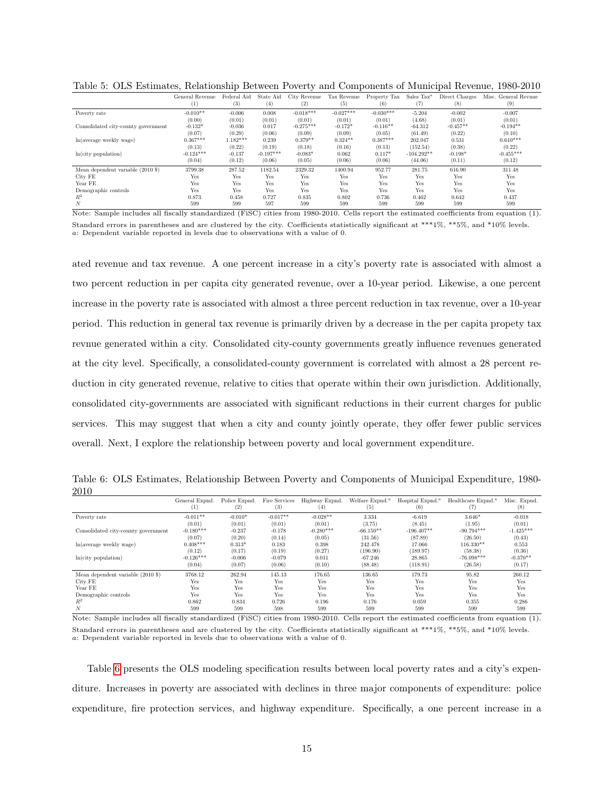|                                     | General Revenue  | Federal Aid  | State Aid   | City Revenue | Tax Revenue | Property Tax | Sales $\text{Tax}^a$ | Direct Charges | Misc. General Revnue |
|-------------------------------------|------------------|--------------|-------------|--------------|-------------|--------------|----------------------|----------------|----------------------|
|                                     | $\left(1\right)$ | $^{\rm (3)}$ | (4)         | (2)          | (5)         | (6)          | (7)                  | (8)            | (9)                  |
| Poverty rate                        | $-0.010**$       | $-0.006$     | 0.008       | $-0.018***$  | $-0.027***$ | $-0.030***$  | $-5.204$             | $-0.002$       | $-0.007$             |
|                                     | (0.00)           | (0.01)       | (0.01)      | (0.01)       | (0.01)      | (0.01)       | (4.68)               | (0.01)         | (0.01)               |
| Consolidated city-county government | $-0.132*$        | $-0.036$     | 0.017       | $-0.275***$  | $-0.172*$   | $-0.116**$   | $-64.312$            | $-0.457**$     | $-0.194**$           |
|                                     | (0.07)           | (0.29)       | (0.06)      | (0.09)       | (0.09)      | (0.05)       | (61.49)              | (0.22)         | (0.10)               |
| $ln(average \, weekly \, wage)$     | $0.367***$       | $1.182***$   | 0.239       | $0.379**$    | $0.324**$   | $0.387***$   | 202.047              | 0.531          | $0.610***$           |
|                                     | (0.13)           | (0.22)       | (0.19)      | (0.18)       | (0.16)      | (0.13)       | (152.54)             | (0.38)         | (0.22)               |
| ln(city population)                 | $-0.124***$      | $-0.137$     | $-0.197***$ | $-0.083*$    | 0.062       | $0.117*$     | $-104.292**$         | $-0.198*$      | $-0.455***$          |
|                                     | (0.04)           | (0.12)       | (0.06)      | (0.05)       | (0.06)      | (0.06)       | (44.06)              | (0.11)         | (0.12)               |
| Mean dependent variable (2010 \$)   | 3799.38          | 287.52       | 1182.54     | 2329.32      | 1400.94     | 952.77       | 281.75               | 616.90         | 311.48               |
| City FE                             | Yes              | Yes          | Yes         | Yes          | Yes         | Yes          | Yes                  | Yes            | Yes                  |
| Year FE                             | Yes              | Yes          | Yes         | Yes          | Yes         | Yes          | Yes                  | Yes            | Yes                  |
| Demographic controls                | Yes              | Yes          | Yes         | Yes          | Yes         | Yes          | Yes                  | Yes            | Yes                  |
| $R^2$                               | 0.873            | 0.458        | 0.727       | 0.835        | 0.802       | 0.736        | 0.462                | 0.642          | 0.437                |
| $\boldsymbol{N}$                    | 599              | 599          | 597         | 599          | 599         | 599          | 599                  | 599            | 599                  |

<span id="page-14-0"></span>Table 5: OLS Estimates, Relationship Between Poverty and Components of Municipal Revenue, 1980-2010

Note: Sample includes all fiscally standardized (FiSC) cities from 1980-2010. Cells report the estimated coefficients from equation (1). Standard errors in parentheses and are clustered by the city. Coefficients statistically significant at \*\*\*1%, \*\*5%, and \*10% levels. a: Dependent variable reported in levels due to observations with a value of 0.

ated revenue and tax revenue. A one percent increase in a city's poverty rate is associated with almost a two percent reduction in per capita city generated revenue, over a 10-year period. Likewise, a one percent increase in the poverty rate is associated with almost a three percent reduction in tax revenue, over a 10-year period. This reduction in general tax revenue is primarily driven by a decrease in the per capita propety tax revnue generated within a city. Consolidated city-county governments greatly influence revenues generated at the city level. Specifically, a consolidated-county government is correlated with almost a 28 percent reduction in city generated revenue, relative to cities that operate within their own jurisdiction. Additionally, consolidated city-governments are associated with significant reductions in their current charges for public services. This may suggest that when a city and county jointly operate, they offer fewer public services overall. Next, I explore the relationship between poverty and local government expenditure.

<span id="page-14-1"></span>Table 6: OLS Estimates, Relationship Between Poverty and Components of Municipal Expenditure, 1980- 2010

|                                            | General Expnd.<br>$^{(1)}$ | Police Expnd.<br>(2) | Fire Services<br>(3) | Highway Expnd.<br>(4) | Welfare Expnd. <sup>a</sup><br>(5) | Hospital Expnd. <sup>a</sup><br>(6) | Healthcare Expnd. <sup>a</sup><br>[7] | Misc. Expnd.<br>(8) |
|--------------------------------------------|----------------------------|----------------------|----------------------|-----------------------|------------------------------------|-------------------------------------|---------------------------------------|---------------------|
| Poverty rate                               | $-0.011**$                 | $-0.010*$            | $-0.017**$           | $-0.028**$            | 3.334                              | $-6.619$                            | $3.646*$                              | $-0.018$            |
|                                            | (0.01)                     | (0.01)               | (0.01)               | (0.01)                | (3.75)                             | (8.45)                              | (1.95)                                | (0.01)              |
| Consolidated city-county government        | $-0.180***$                | $-0.237$             | $-0.178$             | $-0.280***$           | $-66.150**$                        | $-196.407**$                        | $-90.794***$                          | $-1.425***$         |
|                                            | (0.07)                     | (0.20)               | (0.14)               | (0.05)                | (31.56)                            | (87.89)                             | (26.50)                               | (0.43)              |
| ln(average weekly wage)                    | $0.408***$                 | $0.313*$             | 0.183                | 0.398                 | 242.478                            | 17.066                              | $116.330**$                           | 0.553               |
|                                            | (0.12)                     | (0.17)               | (0.19)               | (0.27)                | (196.90)                           | (189.97)                            | (58.38)                               | (0.36)              |
| ln(city population)                        | $-0.126***$                | $-0.006$             | $-0.079$             | 0.011                 | $-67.246$                          | 28.865                              | $-76.098***$                          | $-0.370**$          |
|                                            | (0.04)                     | (0.07)               | (0.06)               | (0.10)                | (88.48)                            | (118.91)                            | (26.58)                               | (0.17)              |
| Mean dependent variable $(2010 \text{ s})$ | 3768.12                    | 262.94               | 145.13               | 176.65                | 136.65                             | 179.73                              | 95.82                                 | 260.12              |
| City FE                                    | Yes                        | Yes                  | Yes                  | Yes                   | Yes                                | Yes                                 | Yes                                   | Yes                 |
| Year FE                                    | Yes                        | Yes                  | Yes                  | Yes                   | Yes                                | Yes                                 | Yes                                   | Yes                 |
| Demographic controls                       | Yes                        | Yes                  | Yes                  | Yes                   | Yes                                | Yes                                 | Yes                                   | Yes                 |
| $R^2$                                      | 0.862                      | 0.834                | 0.726                | 0.196                 | 0.176                              | 0.059                               | 0.355                                 | 0.286               |
| N                                          | 599                        | 599                  | 598                  | 599                   | 599                                | 599                                 | 599                                   | 599                 |

Note: Sample includes all fiscally standardized (FiSC) cities from 1980-2010. Cells report the estimated coefficients from equation (1). Standard errors in parentheses and are clustered by the city. Coefficients statistically significant at \*\*\*1%, \*\*5%, and \*10% levels. a: Dependent variable reported in levels due to observations with a value of 0.

Table [6](#page-14-1) presents the OLS modeling specification results between local poverty rates and a city's expenditure. Increases in poverty are associated with declines in three major components of expenditure: police expenditure, fire protection services, and highway expenditure. Specifically, a one percent increase in a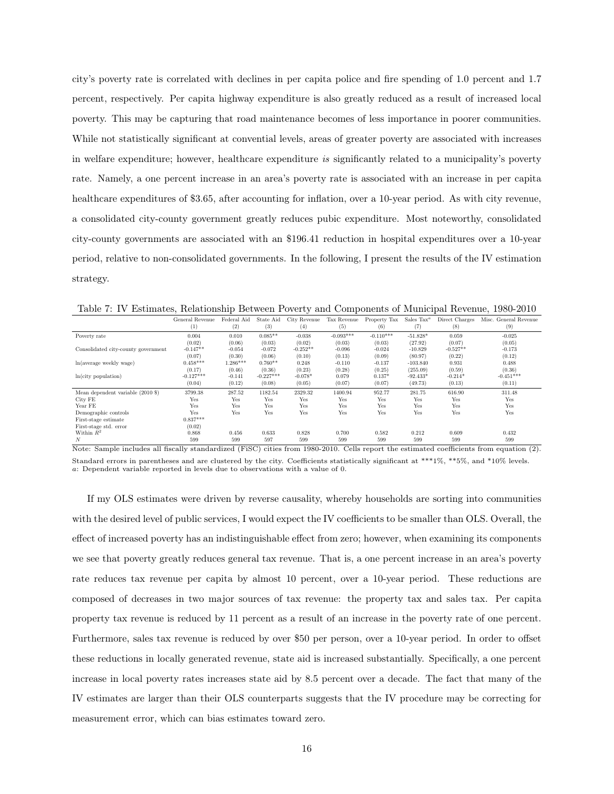city's poverty rate is correlated with declines in per capita police and fire spending of 1.0 percent and 1.7 percent, respectively. Per capita highway expenditure is also greatly reduced as a result of increased local poverty. This may be capturing that road maintenance becomes of less importance in poorer communities. While not statistically significant at convential levels, areas of greater poverty are associated with increases in welfare expenditure; however, healthcare expenditure is significantly related to a municipality's poverty rate. Namely, a one percent increase in an area's poverty rate is associated with an increase in per capita healthcare expenditures of \$3.65, after accounting for inflation, over a 10-year period. As with city revenue, a consolidated city-county government greatly reduces pubic expenditure. Most noteworthy, consolidated city-county governments are associated with an \$196.41 reduction in hospital expenditures over a 10-year period, relative to non-consolidated governments. In the following, I present the results of the IV estimation strategy.

<span id="page-15-0"></span>Table 7: IV Estimates, Relationship Between Poverty and Components of Municipal Revenue, 1980-2010

|                                     | General Revenue | Federal Aid | State Aid   | City Revenue | Tax Revenue | Property Tax | Sales $\text{Tax}^a$ | Direct Charges | Misc. General Revenue |
|-------------------------------------|-----------------|-------------|-------------|--------------|-------------|--------------|----------------------|----------------|-----------------------|
|                                     | (1)             | (2)         | (3)         | (4)          | (5)         | (6)          | (7)                  | (8)            | (9)                   |
| Poverty rate                        | 0.004           | 0.010       | $0.085**$   | $-0.038$     | $-0.093***$ | $-0.110***$  | $-51.828*$           | 0.059          | $-0.025$              |
|                                     | (0.02)          | (0.06)      | (0.03)      | (0.02)       | (0.03)      | (0.03)       | (27.92)              | (0.07)         | (0.05)                |
| Consolidated city-county government | $-0.147**$      | $-0.054$    | $-0.072$    | $-0.252**$   | $-0.096$    | $-0.024$     | $-10.829$            | $-0.527**$     | $-0.173$              |
|                                     | (0.07)          | (0.30)      | (0.06)      | (0.10)       | (0.13)      | (0.09)       | (80.97)              | (0.22)         | (0.12)                |
| $ln(average \, weekly \, wage)$     | $0.458***$      | $1.286***$  | $0.760**$   | 0.248        | $-0.110$    | $-0.137$     | $-103.840$           | 0.931          | 0.488                 |
|                                     | (0.17)          | (0.46)      | (0.36)      | (0.23)       | (0.28)      | (0.25)       | (255.09)             | (0.59)         | (0.36)                |
| ln(city population)                 | $-0.127***$     | $-0.141$    | $-0.227***$ | $-0.078*$    | 0.079       | $0.137*$     | $-92.433*$           | $-0.214*$      | $-0.451***$           |
|                                     | (0.04)          | (0.12)      | (0.08)      | (0.05)       | (0.07)      | (0.07)       | (49.73)              | (0.13)         | (0.11)                |
| Mean dependent variable (2010 \$)   | 3799.38         | 287.52      | 1182.54     | 2329.32      | 1400.94     | 952.77       | 281.75               | 616.90         | 311.48                |
| City FE                             | Yes             | Yes         | Yes         | Yes          | Yes         | Yes          | Yes                  | Yes            | Yes                   |
| Year FE                             | Yes             | Yes         | Yes         | Yes          | Yes         | Yes          | Yes                  | Yes            | Yes                   |
| Demographic controls                | Yes             | Yes         | Yes         | Yes          | Yes         | Yes          | Yes                  | Yes            | Yes                   |
| First-stage estimate                | $0.837***$      |             |             |              |             |              |                      |                |                       |
| First-stage std. error              | (0.02)          |             |             |              |             |              |                      |                |                       |
| Within $R^2$                        | 0.868           | 0.456       | 0.633       | 0.828        | 0.700       | 0.582        | 0.212                | 0.609          | 0.432                 |
| $\boldsymbol{N}$                    | 599             | 599         | 597         | 599          | 599         | 599          | 599                  | 599            | 599                   |

Note: Sample includes all fiscally standardized (FiSC) cities from 1980-2010. Cells report the estimated coefficients from equation (2). Standard errors in parentheses and are clustered by the city. Coefficients statistically significant at \*\*\*1%, \*\*5%, and \*10% levels. a: Dependent variable reported in levels due to observations with a value of 0.

If my OLS estimates were driven by reverse causality, whereby households are sorting into communities with the desired level of public services, I would expect the IV coefficients to be smaller than OLS. Overall, the effect of increased poverty has an indistinguishable effect from zero; however, when examining its components we see that poverty greatly reduces general tax revenue. That is, a one percent increase in an area's poverty rate reduces tax revenue per capita by almost 10 percent, over a 10-year period. These reductions are composed of decreases in two major sources of tax revenue: the property tax and sales tax. Per capita property tax revenue is reduced by 11 percent as a result of an increase in the poverty rate of one percent. Furthermore, sales tax revenue is reduced by over \$50 per person, over a 10-year period. In order to offset these reductions in locally generated revenue, state aid is increased substantially. Specifically, a one percent increase in local poverty rates increases state aid by 8.5 percent over a decade. The fact that many of the IV estimates are larger than their OLS counterparts suggests that the IV procedure may be correcting for measurement error, which can bias estimates toward zero.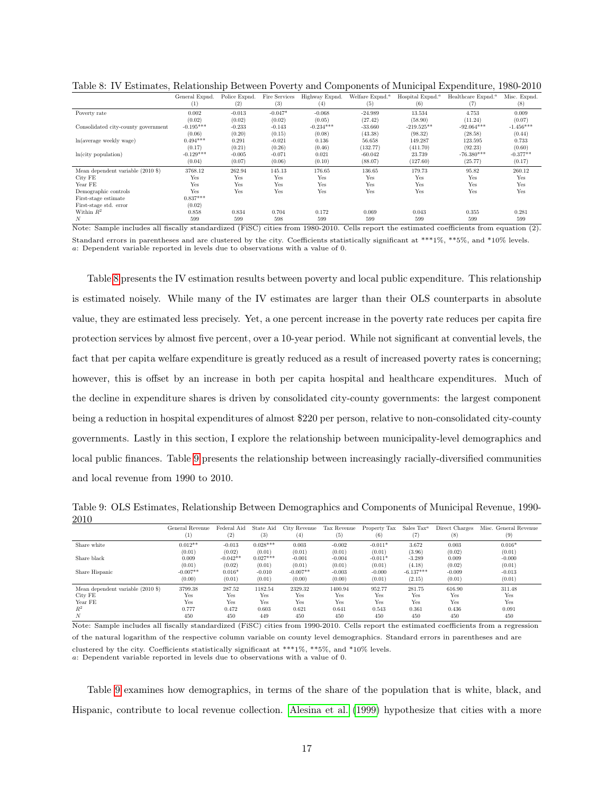|                                     | General Expnd.<br>$\left(1\right)$ | Police Expnd.<br>(2) | Fire Services<br>(3) | Highway Expnd.<br>(4) | Welfare Expnd. <sup>a</sup><br>(5) | Hospital Expnd. <sup>a</sup><br>(6) | Healthcare Expnd. <sup>a</sup><br>(7) | Misc. Expnd.<br>(8) |
|-------------------------------------|------------------------------------|----------------------|----------------------|-----------------------|------------------------------------|-------------------------------------|---------------------------------------|---------------------|
| Poverty rate                        | 0.002                              | $-0.013$             | $-0.047*$            | $-0.068$              | $-24.989$                          | 13.534                              | 4.753                                 | 0.009               |
|                                     | (0.02)                             | (0.02)               | (0.02)               | (0.05)                | (27.42)                            | (58.90)                             | (11.24)                               | (0.07)              |
| Consolidated city-county government | $-0.195***$                        | $-0.233$             | $-0.143$             | $-0.234***$           | $-33.660$                          | $-219.525**$                        | $-92.064***$                          | $-1.456***$         |
|                                     | (0.06)                             | (0.20)               | (0.15)               | (0.08)                | (43.38)                            | (98.32)                             | (28.58)                               | (0.44)              |
| $ln(average \, weekly \, wage)$     | $0.494***$                         | 0.291                | $-0.021$             | 0.136                 | 56.658                             | 149.287                             | 123.595                               | 0.733               |
|                                     | (0.17)                             | (0.21)               | (0.26)               | (0.46)                | (132.77)                           | (411.70)                            | (92.23)                               | (0.60)              |
| ln(city population)                 | $-0.129***$                        | $-0.005$             | $-0.071$             | 0.021                 | $-60.042$                          | 23.739                              | $-76.380***$                          | $-0.377**$          |
|                                     | (0.04)                             | (0.07)               | (0.06)               | (0.10)                | (88.07)                            | (127.60)                            | (25.77)                               | (0.17)              |
| Mean dependent variable (2010 \$)   | 3768.12                            | 262.94               | 145.13               | 176.65                | 136.65                             | 179.73                              | 95.82                                 | 260.12              |
| City FE                             | Yes                                | Yes                  | Yes                  | Yes                   | Yes                                | Yes                                 | Yes                                   | Yes                 |
| Year FE                             | Yes                                | Yes                  | Yes                  | Yes                   | Yes                                | Yes                                 | Yes                                   | Yes                 |
| Demographic controls                | Yes                                | Yes                  | Yes                  | Yes                   | Yes                                | Yes                                 | Yes                                   | Yes                 |
| First-stage estimate                | $0.837***$                         |                      |                      |                       |                                    |                                     |                                       |                     |
| First-stage std. error              | (0.02)                             |                      |                      |                       |                                    |                                     |                                       |                     |
| Within $R^2$                        | 0.858                              | 0.834                | 0.704                | 0.172                 | 0.069                              | 0.043                               | 0.355                                 | 0.281               |
|                                     | 599                                | 599                  | 598                  | 599                   | 599                                | 599                                 | 599                                   | 599                 |

<span id="page-16-0"></span>Table 8: IV Estimates, Relationship Between Poverty and Components of Municipal Expenditure, 1980-2010

Note: Sample includes all fiscally standardized (FiSC) cities from 1980-2010. Cells report the estimated coefficients from equation (2). Standard errors in parentheses and are clustered by the city. Coefficients statistically significant at \*\*\*1%, \*\*5%, and \*10% levels. a: Dependent variable reported in levels due to observations with a value of 0.

Table [8](#page-16-0) presents the IV estimation results between poverty and local public expenditure. This relationship is estimated noisely. While many of the IV estimates are larger than their OLS counterparts in absolute value, they are estimated less precisely. Yet, a one percent increase in the poverty rate reduces per capita fire protection services by almost five percent, over a 10-year period. While not significant at convential levels, the fact that per capita welfare expenditure is greatly reduced as a result of increased poverty rates is concerning; however, this is offset by an increase in both per capita hospital and healthcare expenditures. Much of the decline in expenditure shares is driven by consolidated city-county governments: the largest component being a reduction in hospital expenditures of almost \$220 per person, relative to non-consolidated city-county governments. Lastly in this section, I explore the relationship between municipality-level demographics and local public finances. Table [9](#page-16-1) presents the relationship between increasingly racially-diversified communities and local revenue from 1990 to 2010.

<span id="page-16-1"></span>Table 9: OLS Estimates, Relationship Between Demographics and Components of Municipal Revenue, 1990- 2010

|                                            | General Revenue<br>(1) | Federal Aid<br>(2) | State Aid<br>$^{(3)}$ | City Revenue<br>(4) | Tax Revenue<br>(5) | Property Tax<br>(6) | Sales $\text{Tax}^a$ | Direct Charges<br>$^{(8)}$ | Misc. General Revenue<br>(9) |
|--------------------------------------------|------------------------|--------------------|-----------------------|---------------------|--------------------|---------------------|----------------------|----------------------------|------------------------------|
| Share white                                | $0.012**$              | $-0.013$           | $0.028***$            | 0.003               | $-0.002$           | $-0.011*$           | 3.672                | 0.003                      | $0.016*$                     |
|                                            | (0.01)                 | (0.02)             | (0.01)                | (0.01)              | (0.01)             | (0.01)              | (3.96)               | (0.02)                     | (0.01)                       |
| Share black                                | 0.009                  | $-0.042**$         | $0.027***$            | $-0.001$            | $-0.004$           | $-0.011*$           | $-3.289$             | 0.009                      | $-0.000$                     |
|                                            | (0.01)                 | (0.02)             | (0.01)                | (0.01)              | (0.01)             | (0.01)              | (4.18)               | (0.02)                     | (0.01)                       |
| Share Hispanic                             | $-0.007**$             | $0.016*$           | $-0.010$              | $-0.007**$          | $-0.003$           | $-0.000$            | $-6.137***$          | $-0.009$                   | $-0.013$                     |
|                                            | (0.00)                 | (0.01)             | (0.01)                | (0.00)              | (0.00)             | (0.01)              | (2.15)               | (0.01)                     | (0.01)                       |
| Mean dependent variable $(2010 \text{ s})$ | 3799.38                | 287.52             | 1182.54               | 2329.32             | 1400.94            | 952.77              | 281.75               | 616.90                     | 311.48                       |
| City FE                                    | Yes                    | Yes                | Yes                   | Yes                 | Yes                | Yes                 | Yes                  | Yes                        | Yes                          |
| Year FE                                    | Yes                    | Yes                | Yes                   | Yes                 | Yes                | Yes                 | Yes                  | Yes                        | Yes                          |
| $R^2$                                      | 0.777                  | 0.472              | 0.603                 | 0.621               | 0.641              | 0.543               | 0.361                | 0.436                      | 0.091                        |
| N                                          | 450                    | 450                | 449                   | 450                 | 450                | 450                 | 450                  | 450                        | 450                          |

Note: Sample includes all fiscally standardized (FiSC) cities from 1990-2010. Cells report the estimated coefficients from a regression

of the natural logarithm of the respective column variable on county level demographics. Standard errors in parentheses and are clustered by the city. Coefficients statistically significant at \*\*\*1%, \*\*5%, and \*10% levels. a: Dependent variable reported in levels due to observations with a value of 0.

Table [9](#page-16-1) examines how demographics, in terms of the share of the population that is white, black, and Hispanic, contribute to local revenue collection. [Alesina et al.](#page-19-11) [\(1999\)](#page-19-11) hypothesize that cities with a more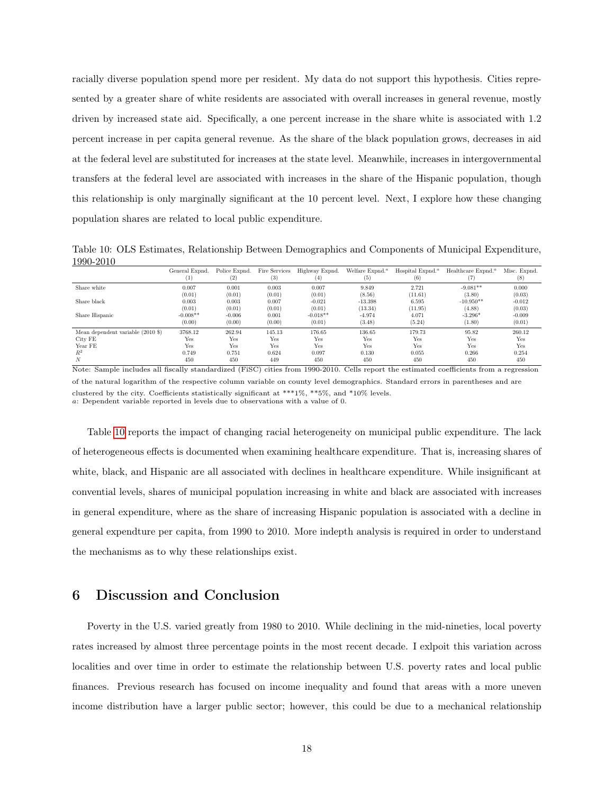racially diverse population spend more per resident. My data do not support this hypothesis. Cities represented by a greater share of white residents are associated with overall increases in general revenue, mostly driven by increased state aid. Specifically, a one percent increase in the share white is associated with 1.2 percent increase in per capita general revenue. As the share of the black population grows, decreases in aid at the federal level are substituted for increases at the state level. Meanwhile, increases in intergovernmental transfers at the federal level are associated with increases in the share of the Hispanic population, though this relationship is only marginally significant at the 10 percent level. Next, I explore how these changing population shares are related to local public expenditure.

<span id="page-17-0"></span>Table 10: OLS Estimates, Relationship Between Demographics and Components of Municipal Expenditure, 1990-2010

|                                   | General Expnd.<br>$\left(1\right)$ | Police Expnd.<br>$^{\left( 2\right) }$ | Fire Services<br>$^{(3)}$ | Highway Expnd.<br>$^{(4)}$ | Welfare Expnd. <sup>a</sup><br>(5) | Hospital Expnd. <sup>a</sup><br>(6) | Healthcare Expnd. <sup>4</sup><br>(7) | Misc. Expnd.<br>(8) |
|-----------------------------------|------------------------------------|----------------------------------------|---------------------------|----------------------------|------------------------------------|-------------------------------------|---------------------------------------|---------------------|
| Share white                       | 0.007                              | 0.001                                  | 0.003                     | 0.007                      | 9.849                              | 2.721                               | $-9.081**$                            | 0.000               |
|                                   | (0.01)                             | (0.01)                                 | (0.01)                    | (0.01)                     | (8.56)                             | (11.61)                             | (3.80)                                | (0.03)              |
| Share black                       | 0.003                              | 0.003                                  | 0.007                     | $-0.021$                   | $-13.398$                          | 6.595                               | $-10.950**$                           | $-0.012$            |
|                                   | (0.01)                             | (0.01)                                 | (0.01)                    | (0.01)                     | (13.34)                            | (11.95)                             | (4.88)                                | (0.03)              |
| Share Hispanic                    | $-0.008**$                         | $-0.006$                               | 0.001                     | $-0.018**$                 | $-4.974$                           | 4.071                               | $-3.296*$                             | $-0.009$            |
|                                   | (0.00)                             | (0.00)                                 | (0.00)                    | (0.01)                     | (3.48)                             | (5.24)                              | (1.80)                                | (0.01)              |
| Mean dependent variable (2010 \$) | 3768.12                            | 262.94                                 | 145.13                    | 176.65                     | 136.65                             | 179.73                              | 95.82                                 | 260.12              |
| City FE                           | Yes                                | Yes                                    | Yes                       | Yes                        | Yes                                | Yes                                 | Yes                                   | Yes                 |
| Year FE                           | Yes                                | Yes                                    | Yes                       | Yes                        | Yes                                | Yes                                 | Yes                                   | Yes                 |
| $R^2$                             | 0.749                              | 0.751                                  | 0.624                     | 0.097                      | 0.130                              | 0.055                               | 0.266                                 | 0.254               |
| $\boldsymbol{N}$                  | 450                                | 450                                    | 449                       | 450                        | 450                                | 450                                 | 450                                   | 450                 |

Note: Sample includes all fiscally standardized (FiSC) cities from 1990-2010. Cells report the estimated coefficients from a regression of the natural logarithm of the respective column variable on county level demographics. Standard errors in parentheses and are clustered by the city. Coefficients statistically significant at \*\*\*1%, \*\*5%, and \*10% levels. a: Dependent variable reported in levels due to observations with a value of 0.

Table [10](#page-17-0) reports the impact of changing racial heterogeneity on municipal public expenditure. The lack of heterogeneous effects is documented when examining healthcare expenditure. That is, increasing shares of white, black, and Hispanic are all associated with declines in healthcare expenditure. While insignificant at convential levels, shares of municipal population increasing in white and black are associated with increases in general expenditure, where as the share of increasing Hispanic population is associated with a decline in general expendture per capita, from 1990 to 2010. More indepth analysis is required in order to understand the mechanisms as to why these relationships exist.

## 6 Discussion and Conclusion

Poverty in the U.S. varied greatly from 1980 to 2010. While declining in the mid-nineties, local poverty rates increased by almost three percentage points in the most recent decade. I exlpoit this variation across localities and over time in order to estimate the relationship between U.S. poverty rates and local public finances. Previous research has focused on income inequality and found that areas with a more uneven income distribution have a larger public sector; however, this could be due to a mechanical relationship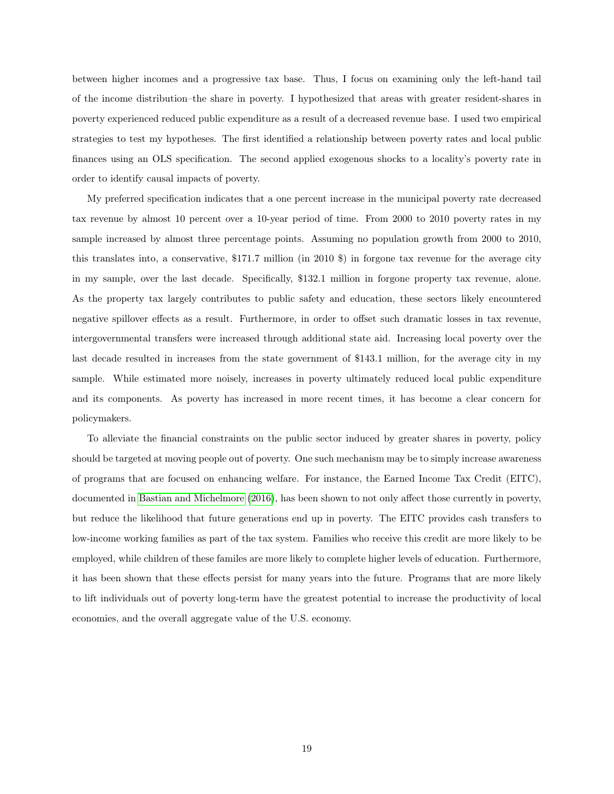between higher incomes and a progressive tax base. Thus, I focus on examining only the left-hand tail of the income distribution–the share in poverty. I hypothesized that areas with greater resident-shares in poverty experienced reduced public expenditure as a result of a decreased revenue base. I used two empirical strategies to test my hypotheses. The first identified a relationship between poverty rates and local public finances using an OLS specification. The second applied exogenous shocks to a locality's poverty rate in order to identify causal impacts of poverty.

My preferred specification indicates that a one percent increase in the municipal poverty rate decreased tax revenue by almost 10 percent over a 10-year period of time. From 2000 to 2010 poverty rates in my sample increased by almost three percentage points. Assuming no population growth from 2000 to 2010, this translates into, a conservative, \$171.7 million (in 2010 \$) in forgone tax revenue for the average city in my sample, over the last decade. Specifically, \$132.1 million in forgone property tax revenue, alone. As the property tax largely contributes to public safety and education, these sectors likely encountered negative spillover effects as a result. Furthermore, in order to offset such dramatic losses in tax revenue, intergovernmental transfers were increased through additional state aid. Increasing local poverty over the last decade resulted in increases from the state government of \$143.1 million, for the average city in my sample. While estimated more noisely, increases in poverty ultimately reduced local public expenditure and its components. As poverty has increased in more recent times, it has become a clear concern for policymakers.

To alleviate the financial constraints on the public sector induced by greater shares in poverty, policy should be targeted at moving people out of poverty. One such mechanism may be to simply increase awareness of programs that are focused on enhancing welfare. For instance, the Earned Income Tax Credit (EITC), documented in [Bastian and Michelmore](#page-19-12) [\(2016\)](#page-19-12), has been shown to not only affect those currently in poverty, but reduce the likelihood that future generations end up in poverty. The EITC provides cash transfers to low-income working families as part of the tax system. Families who receive this credit are more likely to be employed, while children of these familes are more likely to complete higher levels of education. Furthermore, it has been shown that these effects persist for many years into the future. Programs that are more likely to lift individuals out of poverty long-term have the greatest potential to increase the productivity of local economies, and the overall aggregate value of the U.S. economy.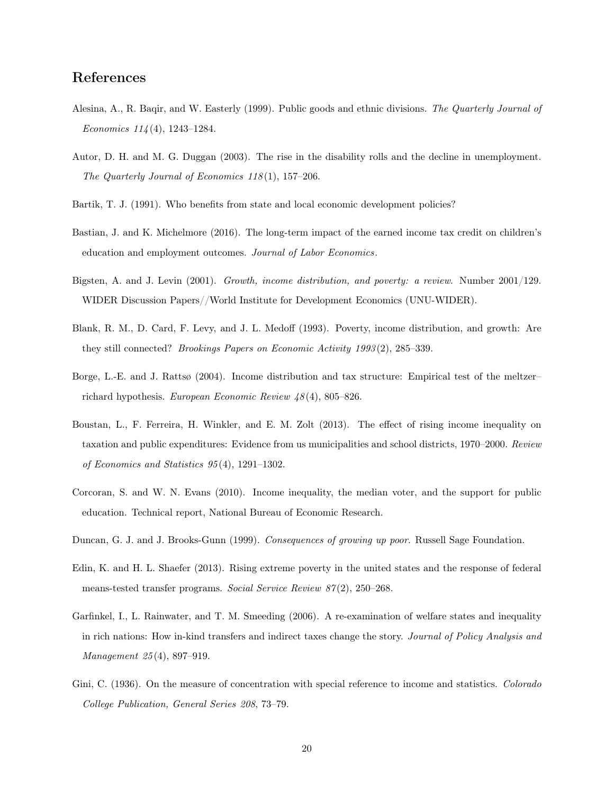## References

- <span id="page-19-11"></span>Alesina, A., R. Baqir, and W. Easterly (1999). Public goods and ethnic divisions. The Quarterly Journal of Economics 114 (4), 1243–1284.
- <span id="page-19-9"></span>Autor, D. H. and M. G. Duggan (2003). The rise in the disability rolls and the decline in unemployment. The Quarterly Journal of Economics  $118(1)$ , 157–206.
- <span id="page-19-10"></span>Bartik, T. J. (1991). Who benefits from state and local economic development policies?
- <span id="page-19-12"></span>Bastian, J. and K. Michelmore (2016). The long-term impact of the earned income tax credit on children's education and employment outcomes. Journal of Labor Economics.
- <span id="page-19-4"></span>Bigsten, A. and J. Levin (2001). Growth, income distribution, and poverty: a review. Number 2001/129. WIDER Discussion Papers//World Institute for Development Economics (UNU-WIDER).
- <span id="page-19-6"></span>Blank, R. M., D. Card, F. Levy, and J. L. Medoff (1993). Poverty, income distribution, and growth: Are they still connected? Brookings Papers on Economic Activity 1993 (2), 285–339.
- <span id="page-19-7"></span>Borge, L.-E. and J. Rattsø (2004). Income distribution and tax structure: Empirical test of the meltzer– richard hypothesis. European Economic Review 48 (4), 805–826.
- <span id="page-19-2"></span>Boustan, L., F. Ferreira, H. Winkler, and E. M. Zolt (2013). The effect of rising income inequality on taxation and public expenditures: Evidence from us municipalities and school districts, 1970–2000. Review of Economics and Statistics 95 (4), 1291–1302.
- <span id="page-19-3"></span>Corcoran, S. and W. N. Evans (2010). Income inequality, the median voter, and the support for public education. Technical report, National Bureau of Economic Research.
- <span id="page-19-1"></span>Duncan, G. J. and J. Brooks-Gunn (1999). Consequences of growing up poor. Russell Sage Foundation.
- <span id="page-19-8"></span>Edin, K. and H. L. Shaefer (2013). Rising extreme poverty in the united states and the response of federal means-tested transfer programs. Social Service Review 87(2), 250–268.
- <span id="page-19-0"></span>Garfinkel, I., L. Rainwater, and T. M. Smeeding (2006). A re-examination of welfare states and inequality in rich nations: How in-kind transfers and indirect taxes change the story. Journal of Policy Analysis and Management 25 (4), 897–919.
- <span id="page-19-5"></span>Gini, C. (1936). On the measure of concentration with special reference to income and statistics. Colorado College Publication, General Series 208, 73–79.